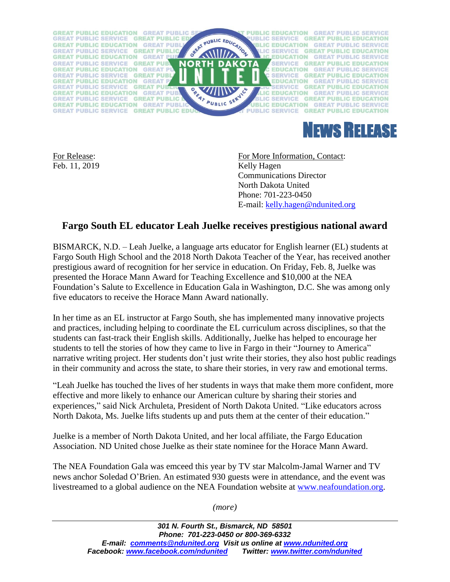



Feb. 11, 2019 Kelly Hagen

For Release: For More Information, Contact: Communications Director North Dakota United Phone: 701-223-0450 E-mail: [kelly.hagen@ndunited.org](mailto:kelly.hagen@ndunited.org)

## **Fargo South EL educator Leah Juelke receives prestigious national award**

BISMARCK, N.D. – Leah Juelke, a language arts educator for English learner (EL) students at Fargo South High School and the 2018 North Dakota Teacher of the Year, has received another prestigious award of recognition for her service in education. On Friday, Feb. 8, Juelke was presented the Horace Mann Award for Teaching Excellence and \$10,000 at the NEA Foundation's Salute to Excellence in Education Gala in Washington, D.C. She was among only five educators to receive the Horace Mann Award nationally.

In her time as an EL instructor at Fargo South, she has implemented many innovative projects and practices, including helping to coordinate the EL curriculum across disciplines, so that the students can fast-track their English skills. Additionally, Juelke has helped to encourage her students to tell the stories of how they came to live in Fargo in their "Journey to America" narrative writing project. Her students don't just write their stories, they also host public readings in their community and across the state, to share their stories, in very raw and emotional terms.

"Leah Juelke has touched the lives of her students in ways that make them more confident, more effective and more likely to enhance our American culture by sharing their stories and experiences," said Nick Archuleta, President of North Dakota United. "Like educators across North Dakota, Ms. Juelke lifts students up and puts them at the center of their education."

Juelke is a member of North Dakota United, and her local affiliate, the Fargo Education Association. ND United chose Juelke as their state nominee for the Horace Mann Award.

The NEA Foundation Gala was emceed this year by TV star Malcolm-Jamal Warner and TV news anchor Soledad O'Brien. An estimated 930 guests were in attendance, and the event was livestreamed to a global audience on the NEA Foundation website at [www.neafoundation.org.](http://www.neafoundation.org/)

*(more)*